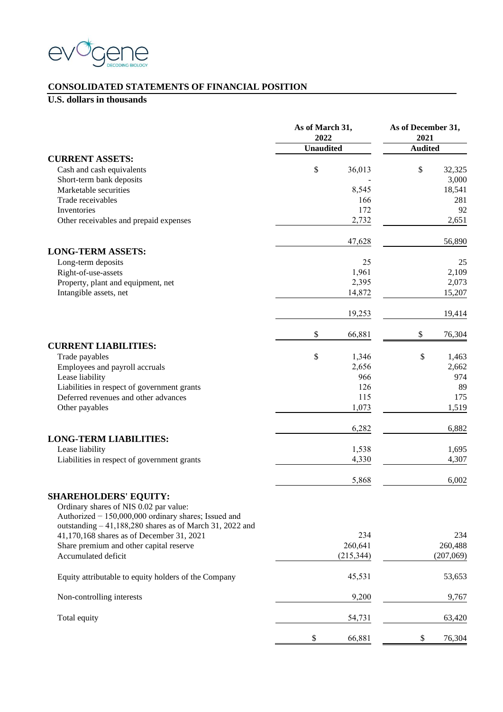

#### **CONSOLIDATED STATEMENTS OF FINANCIAL POSITION**

|                                                                                                | As of March 31,<br>2022 |            | As of December 31,<br>2021 |           |  |
|------------------------------------------------------------------------------------------------|-------------------------|------------|----------------------------|-----------|--|
|                                                                                                | <b>Unaudited</b>        |            | <b>Audited</b>             |           |  |
| <b>CURRENT ASSETS:</b>                                                                         |                         |            |                            |           |  |
| Cash and cash equivalents                                                                      | $\$$                    | 36,013     | \$                         | 32,325    |  |
| Short-term bank deposits                                                                       |                         |            |                            | 3,000     |  |
| Marketable securities                                                                          |                         | 8,545      |                            | 18,541    |  |
| Trade receivables                                                                              |                         | 166        |                            | 281       |  |
| Inventories                                                                                    |                         | 172        |                            | 92        |  |
| Other receivables and prepaid expenses                                                         |                         | 2,732      |                            | 2,651     |  |
|                                                                                                |                         | 47,628     |                            | 56,890    |  |
| <b>LONG-TERM ASSETS:</b><br>Long-term deposits                                                 |                         | 25         |                            | 25        |  |
| Right-of-use-assets                                                                            |                         | 1,961      |                            | 2,109     |  |
| Property, plant and equipment, net                                                             |                         | 2,395      |                            | 2,073     |  |
| Intangible assets, net                                                                         |                         | 14,872     |                            | 15,207    |  |
|                                                                                                |                         | 19,253     |                            | 19,414    |  |
|                                                                                                | \$                      | 66,881     | \$                         | 76,304    |  |
| <b>CURRENT LIABILITIES:</b>                                                                    |                         |            |                            |           |  |
| Trade payables                                                                                 | \$                      | 1,346      | \$                         | 1,463     |  |
| Employees and payroll accruals                                                                 |                         | 2,656      |                            | 2,662     |  |
| Lease liability                                                                                |                         | 966        |                            | 974       |  |
| Liabilities in respect of government grants                                                    |                         | 126        |                            | 89        |  |
| Deferred revenues and other advances                                                           |                         | 115        |                            | 175       |  |
| Other payables                                                                                 |                         | 1,073      |                            | 1,519     |  |
|                                                                                                |                         | 6,282      |                            | 6,882     |  |
| <b>LONG-TERM LIABILITIES:</b>                                                                  |                         |            |                            |           |  |
| Lease liability                                                                                |                         | 1,538      |                            | 1,695     |  |
| Liabilities in respect of government grants                                                    |                         | 4,330      |                            | 4,307     |  |
|                                                                                                |                         | 5,868      |                            | 6,002     |  |
| <b>SHAREHOLDERS' EQUITY:</b>                                                                   |                         |            |                            |           |  |
| Ordinary shares of NIS 0.02 par value:<br>Authorized - 150,000,000 ordinary shares; Issued and |                         |            |                            |           |  |
| outstanding - 41,188,280 shares as of March 31, 2022 and                                       |                         |            |                            |           |  |
| 41,170,168 shares as of December 31, 2021                                                      |                         | 234        |                            | 234       |  |
| Share premium and other capital reserve                                                        |                         | 260,641    |                            | 260,488   |  |
| Accumulated deficit                                                                            |                         | (215, 344) |                            | (207,069) |  |
| Equity attributable to equity holders of the Company                                           |                         | 45,531     |                            | 53,653    |  |
| Non-controlling interests                                                                      |                         | 9,200      |                            | 9,767     |  |
| Total equity                                                                                   |                         | 54,731     |                            | 63,420    |  |
|                                                                                                | \$                      | 66,881     | \$                         | 76,304    |  |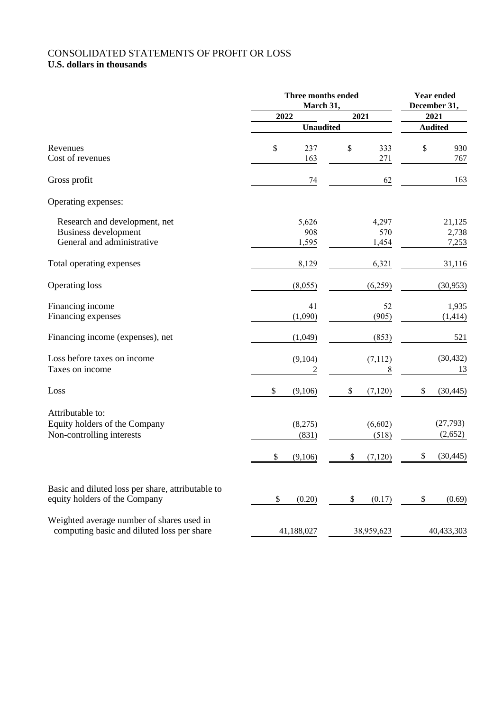# CONSOLIDATED STATEMENTS OF PROFIT OR LOSS

|                                                                                            | Three months ended<br>March 31,   | Year ended<br>December 31,        |                                         |  |
|--------------------------------------------------------------------------------------------|-----------------------------------|-----------------------------------|-----------------------------------------|--|
|                                                                                            | 2022                              | 2021                              | 2021                                    |  |
|                                                                                            |                                   | <b>Unaudited</b>                  |                                         |  |
| Revenues<br>Cost of revenues                                                               | \$<br>237<br>163                  | \$<br>333<br>271                  | \$<br>930<br>767                        |  |
| Gross profit                                                                               | 74                                | 62                                | 163                                     |  |
| Operating expenses:                                                                        |                                   |                                   |                                         |  |
| Research and development, net<br><b>Business development</b><br>General and administrative | 5,626<br>908<br>1,595             | 4,297<br>570<br>1,454             | 21,125<br>2,738<br>7,253                |  |
| Total operating expenses                                                                   | 8,129                             | 6,321                             | 31,116                                  |  |
| <b>Operating loss</b>                                                                      | (8,055)                           | (6,259)                           | (30, 953)                               |  |
| Financing income<br>Financing expenses                                                     | 41<br>(1,090)                     | 52<br>(905)                       | 1,935<br>(1, 414)                       |  |
| Financing income (expenses), net                                                           | (1,049)                           | (853)                             | 521                                     |  |
| Loss before taxes on income<br>Taxes on income                                             | (9,104)<br>$\overline{2}$         | (7,112)<br>8                      | (30, 432)<br>13                         |  |
| Loss                                                                                       | \$<br>(9,106)                     | \$<br>(7, 120)                    | \$<br>(30, 445)                         |  |
| Attributable to:<br>Equity holders of the Company<br>Non-controlling interests             | (8,275)<br>(831)<br>\$<br>(9,106) | (6,602)<br>(518)<br>\$<br>(7,120) | (27, 793)<br>(2,652)<br>\$<br>(30, 445) |  |
| Basic and diluted loss per share, attributable to<br>equity holders of the Company         | \$<br>(0.20)                      | \$<br>(0.17)                      | \$<br>(0.69)                            |  |
| Weighted average number of shares used in<br>computing basic and diluted loss per share    | 41,188,027                        | 38,959,623                        | 40,433,303                              |  |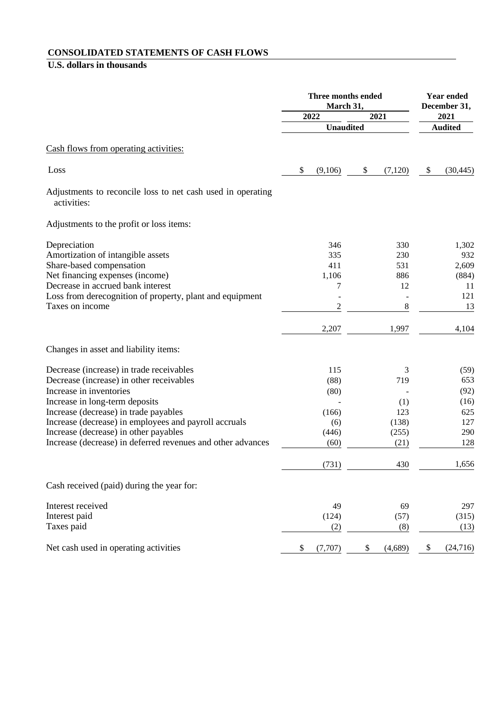#### **CONSOLIDATED STATEMENTS OF CASH FLOWS**

|                                                                            | Three months ended<br>March 31,<br>2022<br>2021<br><b>Unaudited</b> |                |    | <b>Year ended</b><br>December 31, |                |           |
|----------------------------------------------------------------------------|---------------------------------------------------------------------|----------------|----|-----------------------------------|----------------|-----------|
|                                                                            |                                                                     |                |    |                                   | 2021           |           |
|                                                                            |                                                                     |                |    |                                   | <b>Audited</b> |           |
| Cash flows from operating activities:                                      |                                                                     |                |    |                                   |                |           |
| Loss                                                                       | \$                                                                  | (9,106)        | \$ | (7,120)                           | \$             | (30, 445) |
| Adjustments to reconcile loss to net cash used in operating<br>activities: |                                                                     |                |    |                                   |                |           |
| Adjustments to the profit or loss items:                                   |                                                                     |                |    |                                   |                |           |
| Depreciation                                                               |                                                                     | 346            |    | 330                               |                | 1,302     |
| Amortization of intangible assets                                          |                                                                     | 335            |    | 230                               |                | 932       |
| Share-based compensation                                                   |                                                                     | 411            |    | 531                               |                | 2,609     |
| Net financing expenses (income)                                            |                                                                     | 1,106          |    | 886                               |                | (884)     |
| Decrease in accrued bank interest                                          |                                                                     | 7              |    | 12                                |                | 11        |
| Loss from derecognition of property, plant and equipment                   |                                                                     |                |    |                                   |                | 121       |
| Taxes on income                                                            |                                                                     | $\overline{c}$ |    | 8                                 |                | 13        |
|                                                                            |                                                                     | 2,207          |    | 1,997                             |                | 4,104     |
| Changes in asset and liability items:                                      |                                                                     |                |    |                                   |                |           |
| Decrease (increase) in trade receivables                                   |                                                                     | 115            |    | 3                                 |                | (59)      |
| Decrease (increase) in other receivables                                   |                                                                     | (88)           |    | 719                               |                | 653       |
| Increase in inventories                                                    |                                                                     | (80)           |    |                                   |                | (92)      |
| Increase in long-term deposits                                             |                                                                     |                |    | (1)                               |                | (16)      |
| Increase (decrease) in trade payables                                      |                                                                     | (166)          |    | 123                               |                | 625       |
| Increase (decrease) in employees and payroll accruals                      |                                                                     | (6)            |    | (138)                             |                | 127       |
| Increase (decrease) in other payables                                      |                                                                     | (446)          |    | (255)                             |                | 290       |
| Increase (decrease) in deferred revenues and other advances                |                                                                     | (60)           |    | (21)                              |                | 128       |
|                                                                            |                                                                     | (731)          |    | 430                               |                | 1,656     |
| Cash received (paid) during the year for:                                  |                                                                     |                |    |                                   |                |           |
| Interest received                                                          |                                                                     | 49             |    | 69                                |                | 297       |
| Interest paid                                                              |                                                                     | (124)          |    | (57)                              |                | (315)     |
| Taxes paid                                                                 |                                                                     | (2)            |    | (8)                               |                | (13)      |
| Net cash used in operating activities                                      | \$                                                                  | (7,707)        | \$ | (4,689)                           | \$             | (24, 716) |